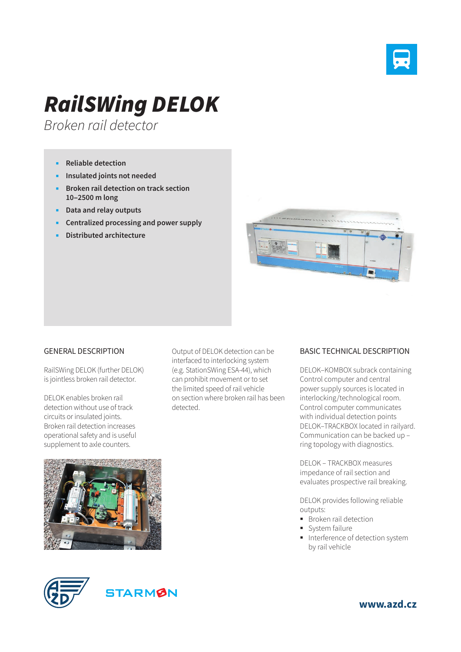

## *RailSWing DELOK*

*Broken rail detector*

- **Reliable detection**
- **Insulated joints not needed**
- **Broken rail detection on track section 10‒2500 m long**
- **Data and relay outputs**
- **Centralized processing and power supply**
- **Distributed architecture**



## GENERAL DESCRIPTION

RailSWing DELOK (further DELOK) is jointless broken rail detector.

DELOK enables broken rail detection without use of track circuits or insulated joints. Broken rail detection increases operational safety and is useful supplement to axle counters.



Output of DELOK detection can be interfaced to interlocking system (e.g. StationSWing ESA-44), which can prohibit movement or to set the limited speed of rail vehicle on section where broken rail has been detected.

## BASIC TECHNICAL DESCRIPTION

DELOK–KOMBOX subrack containing Control computer and central power supply sources is located in interlocking/technological room. Control computer communicates with individual detection points DELOK–TRACKBOX located in railyard. Communication can be backed up – ring topology with diagnostics.

DELOK – TRACKBOX measures impedance of rail section and evaluates prospective rail breaking.

DELOK provides following reliable outputs:

- **Broken rail detection**
- System failure
- **Interference of detection system** by rail vehicle



**www.azd.cz**